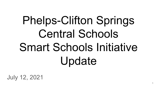# Phelps-Clifton Springs Central Schools Smart Schools Initiative Update

July 12, 2021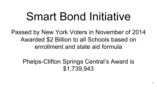# Smart Bond Initiative

Passed by New York Voters in November of 2014 Awarded \$2 Billion to all Schools based on enrollment and state aid formula

Phelps-Clifton Springs Central's Award is \$1,739,943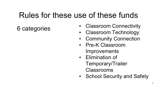## Rules for these use of these funds

- 6 categories Classroom Connectivity
	- **Classroom Technology**
	- **Community Connection**
	- **Pre-K Classroom Improvements**
	- Elimination of Temporary/Trailer Classrooms
	- School Security and Safety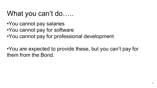### What you can't do…..

- •You cannot pay salaries
- •You cannot pay for software
- •You cannot pay for professional development

•You are expected to provide these, but you can't pay for them from the Bond.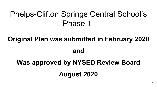## Phelps-Clifton Springs Central School's Phase 1

### **Original Plan was submitted in February 2020**

#### **and**

# **Was approved by NYSED Review Board August 2020**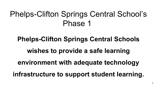# Phelps-Clifton Springs Central School's Phase 1

### **Phelps-Clifton Springs Central Schools**

**wishes to provide a safe learning** 

#### **environment with adequate technology**

**infrastructure to support student learning.**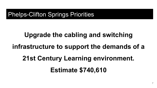### **Upgrade the cabling and switching**

### **infrastructure to support the demands of a**

# **21st Century Learning environment.**

#### **Estimate \$740,610**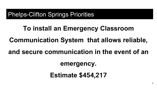# **To install an Emergency Classroom Communication System that allows reliable,**

### **and secure communication in the event of an**

**emergency.** 

**Estimate \$454,217**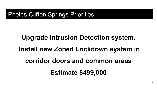# **Upgrade Intrusion Detection system. Install new Zoned Lockdown system in corridor doors and common areas Estimate \$499,000**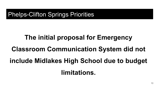# **The initial proposal for Emergency Classroom Communication System did not include Midlakes High School due to budget limitations.**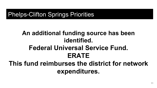### **An additional funding source has been identified. Federal Universal Service Fund. ERATE This fund reimburses the district for network expenditures.**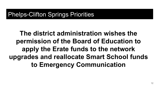**The district administration wishes the permission of the Board of Education to apply the Erate funds to the network upgrades and reallocate Smart School funds to Emergency Communication**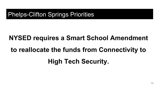# **NYSED requires a Smart School Amendment to reallocate the funds from Connectivity to High Tech Security.**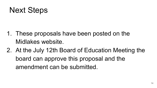## Next Steps

- 1. These proposals have been posted on the Midlakes website.
- 2. At the July 12th Board of Education Meeting the board can approve this proposal and the amendment can be submitted.